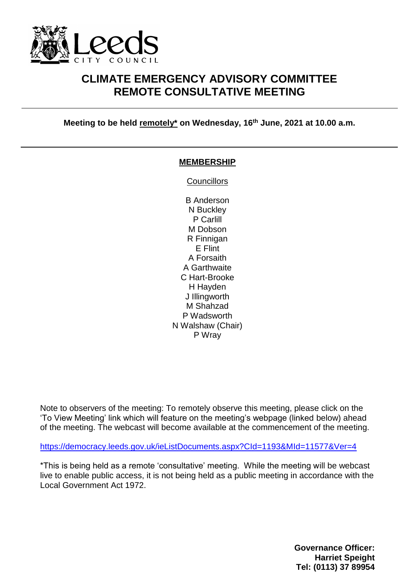

## **CLIMATE EMERGENCY ADVISORY COMMITTEE REMOTE CONSULTATIVE MEETING**

**Meeting to be held remotely\* on Wednesday, 16th June, 2021 at 10.00 a.m.**

#### **MEMBERSHIP**

**Councillors** 

B Anderson N Buckley P Carlill M Dobson R Finnigan E Flint A Forsaith A Garthwaite C Hart-Brooke H Hayden J Illingworth M Shahzad P Wadsworth N Walshaw (Chair) P Wray

Note to observers of the meeting: To remotely observe this meeting, please click on the 'To View Meeting' link which will feature on the meeting's webpage (linked below) ahead of the meeting. The webcast will become available at the commencement of the meeting.

<https://democracy.leeds.gov.uk/ieListDocuments.aspx?CId=1193&MId=11577&Ver=4>

\*This is being held as a remote 'consultative' meeting. While the meeting will be webcast live to enable public access, it is not being held as a public meeting in accordance with the Local Government Act 1972.

> **Governance Officer: Harriet Speight Tel: (0113) 37 89954**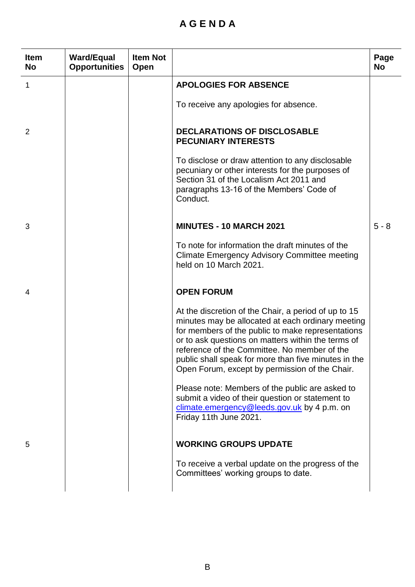# **A G E N D A**

| <b>Item</b><br><b>No</b> | <b>Ward/Equal</b><br><b>Opportunities</b> | <b>Item Not</b><br>Open |                                                                                                                                                                                                                                                                                                                                                                                | Page<br><b>No</b> |
|--------------------------|-------------------------------------------|-------------------------|--------------------------------------------------------------------------------------------------------------------------------------------------------------------------------------------------------------------------------------------------------------------------------------------------------------------------------------------------------------------------------|-------------------|
| 1                        |                                           |                         | <b>APOLOGIES FOR ABSENCE</b>                                                                                                                                                                                                                                                                                                                                                   |                   |
|                          |                                           |                         | To receive any apologies for absence.                                                                                                                                                                                                                                                                                                                                          |                   |
| 2                        |                                           |                         | <b>DECLARATIONS OF DISCLOSABLE</b><br><b>PECUNIARY INTERESTS</b>                                                                                                                                                                                                                                                                                                               |                   |
|                          |                                           |                         | To disclose or draw attention to any disclosable<br>pecuniary or other interests for the purposes of<br>Section 31 of the Localism Act 2011 and<br>paragraphs 13-16 of the Members' Code of<br>Conduct.                                                                                                                                                                        |                   |
| 3                        |                                           |                         | <b>MINUTES - 10 MARCH 2021</b>                                                                                                                                                                                                                                                                                                                                                 | $5 - 8$           |
|                          |                                           |                         | To note for information the draft minutes of the<br><b>Climate Emergency Advisory Committee meeting</b><br>held on 10 March 2021.                                                                                                                                                                                                                                              |                   |
| 4                        |                                           |                         | <b>OPEN FORUM</b>                                                                                                                                                                                                                                                                                                                                                              |                   |
|                          |                                           |                         | At the discretion of the Chair, a period of up to 15<br>minutes may be allocated at each ordinary meeting<br>for members of the public to make representations<br>or to ask questions on matters within the terms of<br>reference of the Committee. No member of the<br>public shall speak for more than five minutes in the<br>Open Forum, except by permission of the Chair. |                   |
|                          |                                           |                         | Please note: Members of the public are asked to<br>submit a video of their question or statement to<br>climate.emergency@leeds.gov.uk by 4 p.m. on<br>Friday 11th June 2021.                                                                                                                                                                                                   |                   |
| 5                        |                                           |                         | <b>WORKING GROUPS UPDATE</b>                                                                                                                                                                                                                                                                                                                                                   |                   |
|                          |                                           |                         | To receive a verbal update on the progress of the<br>Committees' working groups to date.                                                                                                                                                                                                                                                                                       |                   |